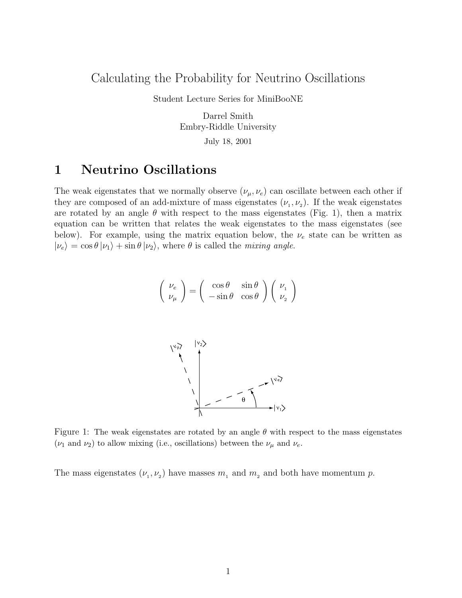#### Calculating the Probability for Neutrino Oscillations

Student Lecture Series for MiniBooNE

Darrel Smith Embry-Riddle University July 18, 2001

#### 1 Neutrino Oscillations

The weak eigenstates that we normally observe  $(\nu_{\mu}, \nu_{e})$  can oscillate between each other if they are composed of an add-mixture of mass eigenstates  $(\nu_1, \nu_2)$ . If the weak eigenstates are rotated by an angle  $\theta$  with respect to the mass eigenstates (Fig. 1), then a matrix equation can be written that relates the weak eigenstates to the mass eigenstates (see below). For example, using the matrix equation below, the  $\nu_e$  state can be written as  $|\nu_e\rangle = \cos \theta |\nu_1\rangle + \sin \theta |\nu_2\rangle$ , where  $\theta$  is called the *mixing angle*.

$$
\left(\begin{array}{c}\nu_e\\\nu_\mu\end{array}\right) = \left(\begin{array}{cc} \cos\theta & \sin\theta\\-\sin\theta & \cos\theta\end{array}\right) \left(\begin{array}{c}\nu_1\\ \nu_2\end{array}\right)
$$



Figure 1: The weak eigenstates are rotated by an angle  $\theta$  with respect to the mass eigenstates  $(\nu_1 \text{ and } \nu_2)$  to allow mixing (i.e., oscillations) between the  $\nu_\mu$  and  $\nu_e$ .

The mass eigenstates  $(\nu_1, \nu_2)$  have masses  $m_1$  and  $m_2$  and both have momentum p.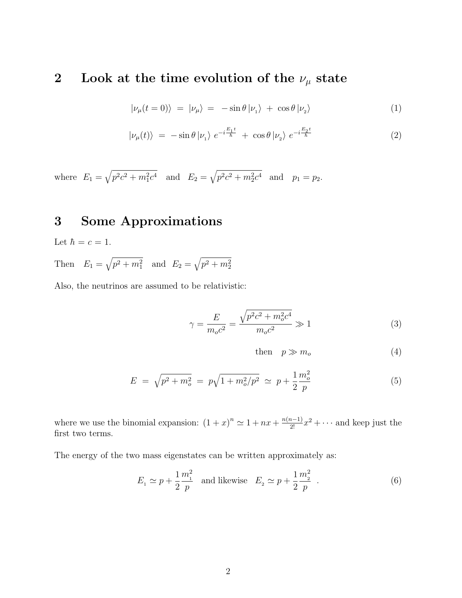# 2 Look at the time evolution of the  $\nu_\mu$  state

$$
|\nu_{\mu}(t=0)\rangle = |\nu_{\mu}\rangle = -\sin\theta |\nu_{1}\rangle + \cos\theta |\nu_{2}\rangle \tag{1}
$$

$$
|\nu_{\mu}(t)\rangle = -\sin\theta |\nu_{1}\rangle e^{-i\frac{E_{1}t}{\hbar}} + \cos\theta |\nu_{2}\rangle e^{-i\frac{E_{2}t}{\hbar}}
$$
\n(2)

where  $E_1 = \sqrt{p^2c^2 + m_1^2c^4}$  and  $E_2 = \sqrt{p^2c^2 + m_2^2c^4}$  and  $p_1 = p_2$ .

### 3 Some Approximations

Let  $\hbar = c = 1$ . Then  $E_1 = \sqrt{p^2 + m_1^2}$  and  $E_2 = \sqrt{p^2 + m_2^2}$ 

Also, the neutrinos are assumed to be relativistic:

$$
\gamma = \frac{E}{m_o c^2} = \frac{\sqrt{p^2 c^2 + m_o^2 c^4}}{m_o c^2} \gg 1
$$
\n(3)

then 
$$
p \gg m_o
$$
 (4)

$$
E = \sqrt{p^2 + m_o^2} = p\sqrt{1 + m_o^2/p^2} \simeq p + \frac{1}{2} \frac{m_o^2}{p}
$$
 (5)

where we use the binomial expansion:  $(1+x)^n \approx 1 + nx + \frac{n(n-1)}{2!}x^2 + \cdots$  and keep just the first two terms.

The energy of the two mass eigenstates can be written approximately as:

$$
E_1 \simeq p + \frac{1}{2} \frac{m_1^2}{p}
$$
 and likewise  $E_2 \simeq p + \frac{1}{2} \frac{m_2^2}{p}$ . (6)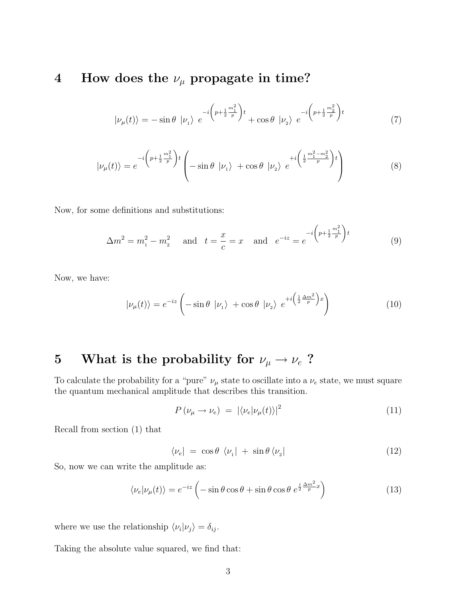# 4 How does the  $\nu_{\mu}$  propagate in time?

$$
|\nu_{\mu}(t)\rangle = -\sin\theta |\nu_{1}\rangle e^{-i\left(p + \frac{1}{2}\frac{m_{1}^{2}}{p}\right)t} + \cos\theta |\nu_{2}\rangle e^{-i\left(p + \frac{1}{2}\frac{m_{2}^{2}}{p}\right)t}
$$
\n(7)

$$
|\nu_{\mu}(t)\rangle = e^{-i\left(p + \frac{1}{2}\frac{m_1^2}{p}\right)t} \left(-\sin\theta |\nu_1\rangle + \cos\theta |\nu_2\rangle e^{+i\left(\frac{1}{2}\frac{m_1^2 - m_2^2}{p}\right)t}\right)
$$
(8)

Now, for some definitions and substitutions:

$$
\Delta m^2 = m_1^2 - m_2^2 \quad \text{and} \quad t = \frac{x}{c} = x \quad \text{and} \quad e^{-iz} = e^{-i\left(p + \frac{1}{2}\frac{m_1^2}{p}\right)t}
$$
(9)

Now, we have:

$$
|\nu_{\mu}(t)\rangle = e^{-iz} \left( -\sin\theta \, |\nu_{1}\rangle + \cos\theta \, |\nu_{2}\rangle \, e^{+i\left(\frac{1}{2}\frac{\Delta m^{2}}{p}\right)x} \right) \tag{10}
$$

# 5 What is the probability for  $\nu_\mu \rightarrow \nu_e$ ?

To calculate the probability for a "pure"  $\nu_{\mu}$  state to oscillate into a  $\nu_e$  state, we must square the quantum mechanical amplitude that describes this transition.

$$
P(\nu_{\mu} \to \nu_{e}) = |\langle \nu_{e} | \nu_{\mu}(t) \rangle|^{2}
$$
\n(11)

Recall from section (1) that

$$
\langle \nu_e | = \cos \theta \, \langle \nu_1 | + \sin \theta \, \langle \nu_2 | \tag{12}
$$

So, now we can write the amplitude as:

$$
\langle \nu_e | \nu_\mu(t) \rangle = e^{-iz} \left( -\sin \theta \cos \theta + \sin \theta \cos \theta \ e^{\frac{i}{2} \frac{\Delta m^2}{p} x} \right) \tag{13}
$$

where we use the relationship  $\langle \nu_i | \nu_j \rangle = \delta_{ij}$ .

Taking the absolute value squared, we find that: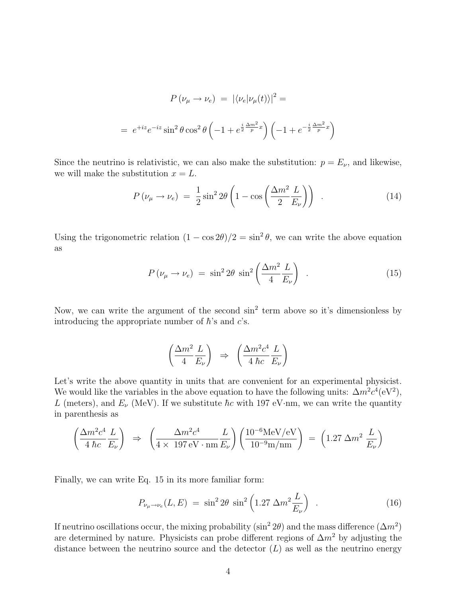$$
P(\nu_{\mu} \to \nu_e) = |\langle \nu_e | \nu_{\mu}(t) \rangle|^2 =
$$
  
=  $e^{+iz} e^{-iz} \sin^2 \theta \cos^2 \theta \left( -1 + e^{\frac{i}{2} \frac{\Delta m^2}{p} x} \right) \left( -1 + e^{-\frac{i}{2} \frac{\Delta m^2}{p} x} \right)$ 

Since the neutrino is relativistic, we can also make the substitution:  $p = E_{\nu}$ , and likewise, we will make the substitution  $x = L$ .

$$
P(\nu_{\mu} \to \nu_{e}) = \frac{1}{2} \sin^{2} 2\theta \left( 1 - \cos \left( \frac{\Delta m^{2}}{2} \frac{L}{E_{\nu}} \right) \right) . \tag{14}
$$

Using the trigonometric relation  $(1 - \cos 2\theta)/2 = \sin^2 \theta$ , we can write the above equation as

$$
P(\nu_{\mu} \to \nu_{e}) = \sin^{2} 2\theta \sin^{2} \left(\frac{\Delta m^{2}}{4} \frac{L}{E_{\nu}}\right) . \tag{15}
$$

Now, we can write the argument of the second  $\sin^2$  term above so it's dimensionless by introducing the appropriate number of  $\hbar$ 's and c's.

$$
\left(\frac{\Delta m^2}{4} \frac{L}{E_{\nu}}\right) \Rightarrow \left(\frac{\Delta m^2 c^4}{4 \hbar c} \frac{L}{E_{\nu}}\right)
$$

Let's write the above quantity in units that are convenient for an experimental physicist. We would like the variables in the above equation to have the following units:  $\Delta m^2 c^4 (eV^2)$ , L (meters), and  $E_\nu$  (MeV). If we substitute  $\hbar c$  with 197 eV·nm, we can write the quantity in parenthesis as

$$
\left(\frac{\Delta m^2 c^4}{4 \hbar c} \frac{L}{E_{\nu}}\right) \Rightarrow \left(\frac{\Delta m^2 c^4}{4 \times 197 \,\text{eV} \cdot \text{nm}} \frac{L}{E_{\nu}}\right) \left(\frac{10^{-6} \text{MeV/eV}}{10^{-9} \text{m/nm}}\right) = \left(1.27 \,\Delta m^2 \,\frac{L}{E_{\nu}}\right)
$$

Finally, we can write Eq. 15 in its more familiar form:

$$
P_{\nu_{\mu}\to\nu_{e}}(L,E) = \sin^2 2\theta \sin^2 \left(1.27 \Delta m^2 \frac{L}{E_{\nu}}\right) \quad . \tag{16}
$$

If neutrino oscillations occur, the mixing probability (sin<sup>2</sup> 2 $\theta$ ) and the mass difference ( $\Delta m^2$ ) are determined by nature. Physicists can probe different regions of  $\Delta m^2$  by adjusting the distance between the neutrino source and the detector  $(L)$  as well as the neutrino energy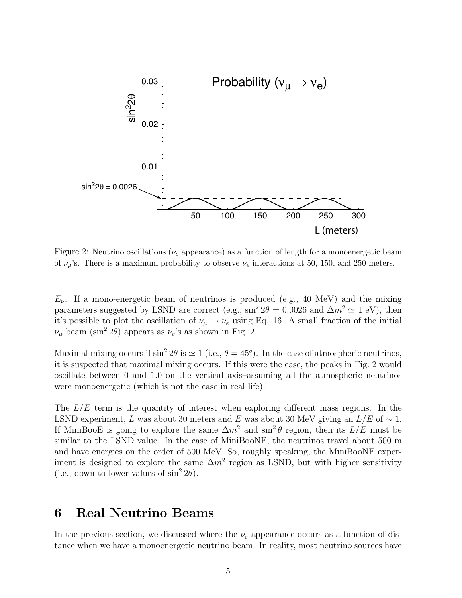

Figure 2: Neutrino oscillations ( $\nu_e$  appearance) as a function of length for a monoenergetic beam of  $\nu_{\mu}$ 's. There is a maximum probability to observe  $\nu_e$  interactions at 50, 150, and 250 meters.

 $E_{\nu}$ . If a mono-energetic beam of neutrinos is produced (e.g., 40 MeV) and the mixing parameters suggested by LSND are correct (e.g.,  $\sin^2 2\theta = 0.0026$  and  $\Delta m^2 \simeq 1$  eV), then it's possible to plot the oscillation of  $\nu_\mu \to \nu_e$  using Eq. 16. A small fraction of the initial  $\nu_{\mu}$  beam (sin<sup>2</sup> 2 $\theta$ ) appears as  $\nu_e$ 's as shown in Fig. 2.

Maximal mixing occurs if  $\sin^2 2\theta$  is  $\simeq 1$  (i.e.,  $\theta = 45^{\circ}$ ). In the case of atmospheric neutrinos, it is suspected that maximal mixing occurs. If this were the case, the peaks in Fig. 2 would oscillate between 0 and 1.0 on the vertical axis–assuming all the atmospheric neutrinos were monoenergetic (which is not the case in real life).

The  $L/E$  term is the quantity of interest when exploring different mass regions. In the LSND experiment, L was about 30 meters and E was about 30 MeV giving an  $L/E$  of  $\sim 1$ . If MiniBooE is going to explore the same  $\Delta m^2$  and  $\sin^2 \theta$  region, then its  $L/E$  must be similar to the LSND value. In the case of MiniBooNE, the neutrinos travel about 500 m and have energies on the order of 500 MeV. So, roughly speaking, the MiniBooNE experiment is designed to explore the same  $\Delta m^2$  region as LSND, but with higher sensitivity (i.e., down to lower values of  $\sin^2 2\theta$ ).

## 6 Real Neutrino Beams

In the previous section, we discussed where the  $\nu_e$  appearance occurs as a function of distance when we have a monoenergetic neutrino beam. In reality, most neutrino sources have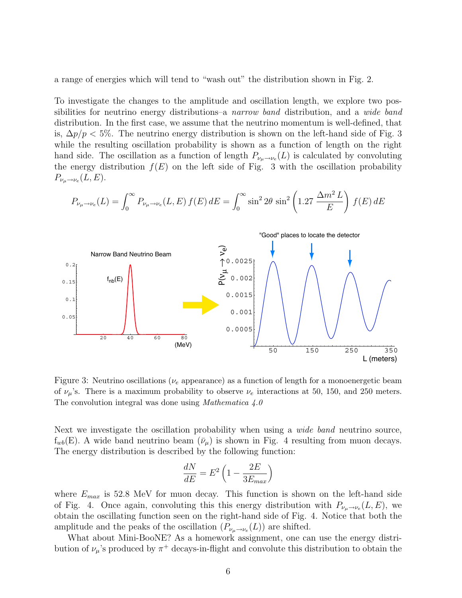a range of energies which will tend to "wash out" the distribution shown in Fig. 2.

To investigate the changes to the amplitude and oscillation length, we explore two possibilities for neutrino energy distributions–a narrow band distribution, and a wide band distribution. In the first case, we assume that the neutrino momentum is well-defined, that is,  $\Delta p/p < 5\%$ . The neutrino energy distribution is shown on the left-hand side of Fig. 3 while the resulting oscillation probability is shown as a function of length on the right hand side. The oscillation as a function of length  $P_{\nu_\mu \to \nu_e}(L)$  is calculated by convoluting the energy distribution  $f(E)$  on the left side of Fig. 3 with the oscillation probability  $P_{\nu_\mu \to \nu_e}(L,E).$ 

$$
P_{\nu_{\mu}\to\nu_{e}}(L) = \int_{0}^{\infty} P_{\nu_{\mu}\to\nu_{e}}(L,E) f(E) dE = \int_{0}^{\infty} \sin^{2} 2\theta \sin^{2} \left(1.27 \frac{\Delta m^{2} L}{E}\right) f(E) dE
$$



Figure 3: Neutrino oscillations ( $\nu_e$  appearance) as a function of length for a monoenergetic beam of  $\nu_{\mu}$ 's. There is a maximum probability to observe  $\nu_e$  interactions at 50, 150, and 250 meters. The convolution integral was done using *Mathematica* 4.0

Next we investigate the oscillation probability when using a *wide band* neutrino source,  $f_{wb}(E)$ . A wide band neutrino beam  $(\bar{\nu}_{\mu})$  is shown in Fig. 4 resulting from muon decays. The energy distribution is described by the following function:

$$
\frac{dN}{dE} = E^2 \left( 1 - \frac{2E}{3E_{max}} \right)
$$

where  $E_{max}$  is 52.8 MeV for muon decay. This function is shown on the left-hand side of Fig. 4. Once again, convoluting this this energy distribution with  $P_{\nu_{\mu}\to\nu_{e}}(L,E)$ , we obtain the oscillating function seen on the right-hand side of Fig. 4. Notice that both the amplitude and the peaks of the oscillation  $(P_{\nu_\mu \to \nu_e}(L))$  are shifted.

What about Mini-BooNE? As a homework assignment, one can use the energy distribution of  $\nu_{\mu}$ 's produced by  $\pi^{+}$  decays-in-flight and convolute this distribution to obtain the